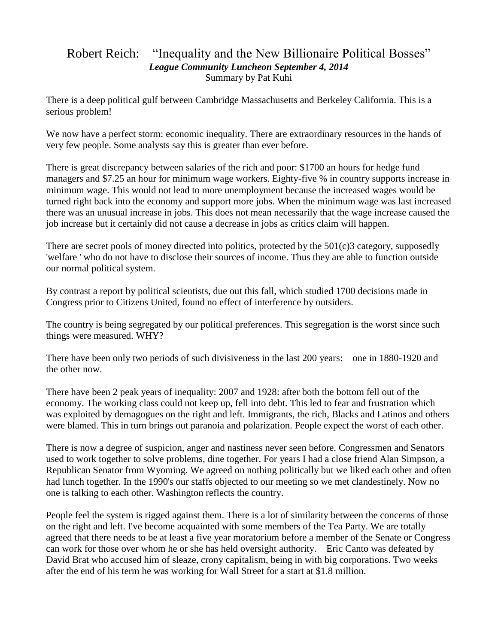## Robert Reich: "Inequality and the New Billionaire Political Bosses" *League Community Luncheon September 4, 2014* Summary by Pat Kuhi

There is a deep political gulf between Cambridge Massachusetts and Berkeley California. This is a serious problem!

We now have a perfect storm: economic inequality. There are extraordinary resources in the hands of very few people. Some analysts say this is greater than ever before.

There is great discrepancy between salaries of the rich and poor: \$1700 an hours for hedge fund managers and \$7.25 an hour for minimum wage workers. Eighty-five % in country supports increase in minimum wage. This would not lead to more unemployment because the increased wages would be turned right back into the economy and support more jobs. When the minimum wage was last increased there was an unusual increase in jobs. This does not mean necessarily that the wage increase caused the job increase but it certainly did not cause a decrease in jobs as critics claim will happen.

There are secret pools of money directed into politics, protected by the 501(c)3 category, supposedly 'welfare ' who do not have to disclose their sources of income. Thus they are able to function outside our normal political system.

By contrast a report by political scientists, due out this fall, which studied 1700 decisions made in Congress prior to Citizens United, found no effect of interference by outsiders.

The country is being segregated by our political preferences. This segregation is the worst since such things were measured. WHY?

There have been only two periods of such divisiveness in the last 200 years: one in 1880-1920 and the other now.

There have been 2 peak years of inequality: 2007 and 1928: after both the bottom fell out of the economy. The working class could not keep up, fell into debt. This led to fear and frustration which was exploited by demagogues on the right and left. Immigrants, the rich, Blacks and Latinos and others were blamed. This in turn brings out paranoia and polarization. People expect the worst of each other.

There is now a degree of suspicion, anger and nastiness never seen before. Congressmen and Senators used to work together to solve problems, dine together. For years I had a close friend Alan Simpson, a Republican Senator from Wyoming. We agreed on nothing politically but we liked each other and often had lunch together. In the 1990's our staffs objected to our meeting so we met clandestinely. Now no one is talking to each other. Washington reflects the country.

People feel the system is rigged against them. There is a lot of similarity between the concerns of those on the right and left. I've become acquainted with some members of the Tea Party. We are totally agreed that there needs to be at least a five year moratorium before a member of the Senate or Congress can work for those over whom he or she has held oversight authority. Eric Canto was defeated by David Brat who accused him of sleaze, crony capitalism, being in with big corporations. Two weeks after the end of his term he was working for Wall Street for a start at \$1.8 million.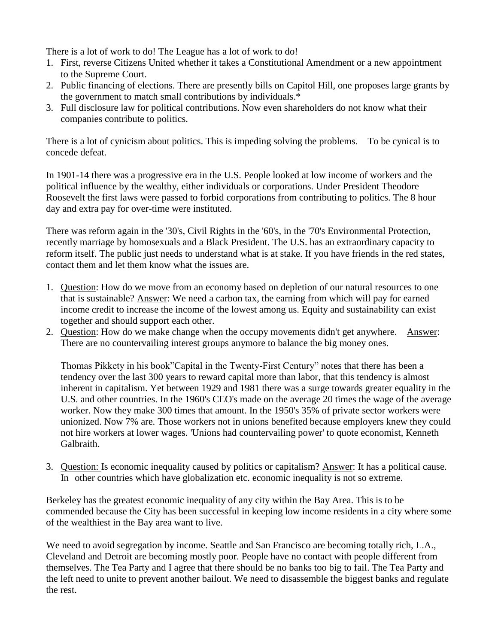There is a lot of work to do! The League has a lot of work to do!

- 1. First, reverse Citizens United whether it takes a Constitutional Amendment or a new appointment to the Supreme Court.
- 2. Public financing of elections. There are presently bills on Capitol Hill, one proposes large grants by the government to match small contributions by individuals.\*
- 3. Full disclosure law for political contributions. Now even shareholders do not know what their companies contribute to politics.

There is a lot of cynicism about politics. This is impeding solving the problems. To be cynical is to concede defeat.

In 1901-14 there was a progressive era in the U.S. People looked at low income of workers and the political influence by the wealthy, either individuals or corporations. Under President Theodore Roosevelt the first laws were passed to forbid corporations from contributing to politics. The 8 hour day and extra pay for over-time were instituted.

There was reform again in the '30's, Civil Rights in the '60's, in the '70's Environmental Protection, recently marriage by homosexuals and a Black President. The U.S. has an extraordinary capacity to reform itself. The public just needs to understand what is at stake. If you have friends in the red states, contact them and let them know what the issues are.

- 1. Question: How do we move from an economy based on depletion of our natural resources to one that is sustainable? Answer: We need a carbon tax, the earning from which will pay for earned income credit to increase the income of the lowest among us. Equity and sustainability can exist together and should support each other.
- 2. Question: How do we make change when the occupy movements didn't get anywhere. Answer: There are no countervailing interest groups anymore to balance the big money ones.

Thomas Pikkety in his book"Capital in the Twenty-First Century" notes that there has been a tendency over the last 300 years to reward capital more than labor, that this tendency is almost inherent in capitalism. Yet between 1929 and 1981 there was a surge towards greater equality in the U.S. and other countries. In the 1960's CEO's made on the average 20 times the wage of the average worker. Now they make 300 times that amount. In the 1950's 35% of private sector workers were unionized. Now 7% are. Those workers not in unions benefited because employers knew they could not hire workers at lower wages. 'Unions had countervailing power' to quote economist, Kenneth Galbraith.

3. Question: Is economic inequality caused by politics or capitalism? Answer: It has a political cause. In other countries which have globalization etc. economic inequality is not so extreme.

Berkeley has the greatest economic inequality of any city within the Bay Area. This is to be commended because the City has been successful in keeping low income residents in a city where some of the wealthiest in the Bay area want to live.

We need to avoid segregation by income. Seattle and San Francisco are becoming totally rich, L.A., Cleveland and Detroit are becoming mostly poor. People have no contact with people different from themselves. The Tea Party and I agree that there should be no banks too big to fail. The Tea Party and the left need to unite to prevent another bailout. We need to disassemble the biggest banks and regulate the rest.